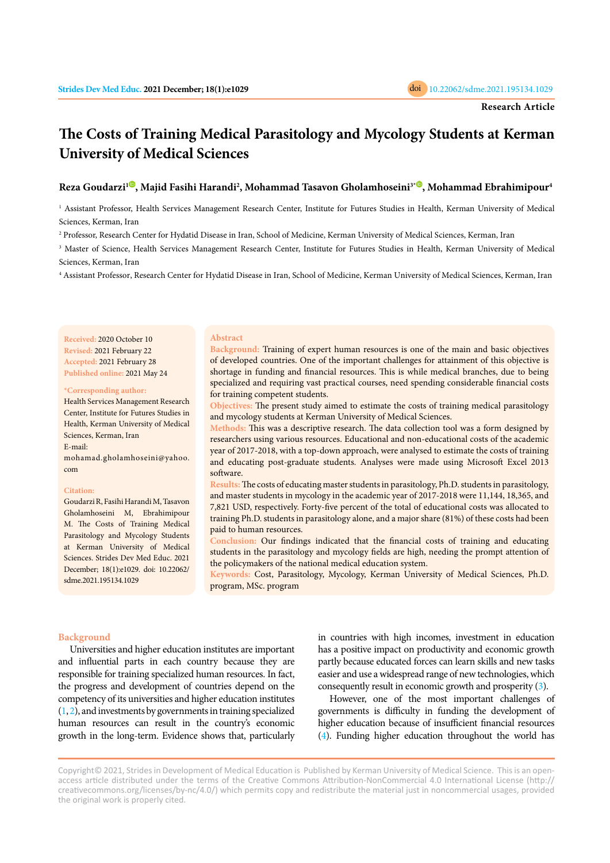

# **The Costs of Training Medical Parasitology and Mycology Students at Kerman University of Medical Sciences**

## **Reza Goudarzi1 [,](https://orcid.org/0000-0003-4399-3498) Majid Fasihi Harandi2 , Mohammad Tasavon Gholamhoseini3[\\*](https://orcid.org/0000-0002-1415-8699) , Mohammad Ebrahimipour4**

1 Assistant Professor, Health Services Management Research Center, Institute for Futures Studies in Health, Kerman University of Medical Sciences, Kerman, Iran

2 Professor, Research Center for Hydatid Disease in Iran, School of Medicine, Kerman University of Medical Sciences, Kerman, Iran

 $\,^3$  Master of Science, Health Services Management Research Center, Institute for Futures Studies in Health, Kerman University of Medical Sciences, Kerman, Iran

4 Assistant Professor, Research Center for Hydatid Disease in Iran, School of Medicine, Kerman University of Medical Sciences, Kerman, Iran

**Received:** 2020 October 10 **Revised:** 2021 February 22 **Accepted:** 2021 February 28 **Published online:** 2021 May 24

#### **\*Corresponding author:**

Health Services Management Research Center, Institute for Futures Studies in Health, Kerman University of Medical Sciences, Kerman, Iran E-mail: mohamad.gholamhoseini@yahoo.

#### **Citation:**

com

Goudarzi R, Fasihi Harandi M, Tasavon Gholamhoseini M, Ebrahimipour M. The Costs of Training Medical Parasitology and Mycology Students at Kerman University of Medical Sciences. Strides Dev Med Educ. 2021 December; 18(1):e1029. doi: 10.22062/ sdme.2021.195134.1029

#### **Abstract**

**Background:** Training of expert human resources is one of the main and basic objectives of developed countries. One of the important challenges for attainment of this objective is shortage in funding and financial resources. This is while medical branches, due to being specialized and requiring vast practical courses, need spending considerable financial costs for training competent students.

**Objectives:** The present study aimed to estimate the costs of training medical parasitology and mycology students at Kerman University of Medical Sciences.

**Methods:** This was a descriptive research. The data collection tool was a form designed by researchers using various resources. Educational and non-educational costs of the academic year of 2017-2018, with a top-down approach, were analysed to estimate the costs of training and educating post-graduate students. Analyses were made using Microsoft Excel 2013 software.

**Results:** The costs of educating master students in parasitology, Ph.D. students in parasitology, and master students in mycology in the academic year of 2017-2018 were 11,144, 18,365, and 7,821 USD, respectively. Forty-five percent of the total of educational costs was allocated to training Ph.D. students in parasitology alone, and a major share (81%) of these costs had been paid to human resources.

**Conclusion:** Our findings indicated that the financial costs of training and educating students in the parasitology and mycology fields are high, needing the prompt attention of the policymakers of the national medical education system.

**Keywords:** Cost, Parasitology, Mycology, Kerman University of Medical Sciences, Ph.D. program, MSc. program

## **Background**

Universities and higher education institutes are important and influential parts in each country because they are responsible for training specialized human resources. In fact, the progress and development of countries depend on the competency of its universities and higher education institutes  $(1, 2)$ , and investments by governments in training specialized human resources can result in the country's economic growth in the long-term. Evidence shows that, particularly

in countries with high incomes, investment in education has a positive impact on productivity and economic growth partly because educated forces can learn skills and new tasks easier and use a widespread range of new technologies, which consequently result in economic growth and prosperity [\(3](#page-4-0)).

However, one of the most important challenges of governments is difficulty in funding the development of higher education because of insufficient financial resources ([4](#page-4-0)). Funding higher education throughout the world has

Copyright© 2021, Strides in Development of Medical Education is Published by Kerman University of Medical Science. This is an openaccess article distributed under the terms of the Creative Commons Attribution-NonCommercial 4.0 International License (http:// creativecommons.org/licenses/by-nc/4.0/) which permits copy and redistribute the material just in noncommercial usages, provided the original work is properly cited.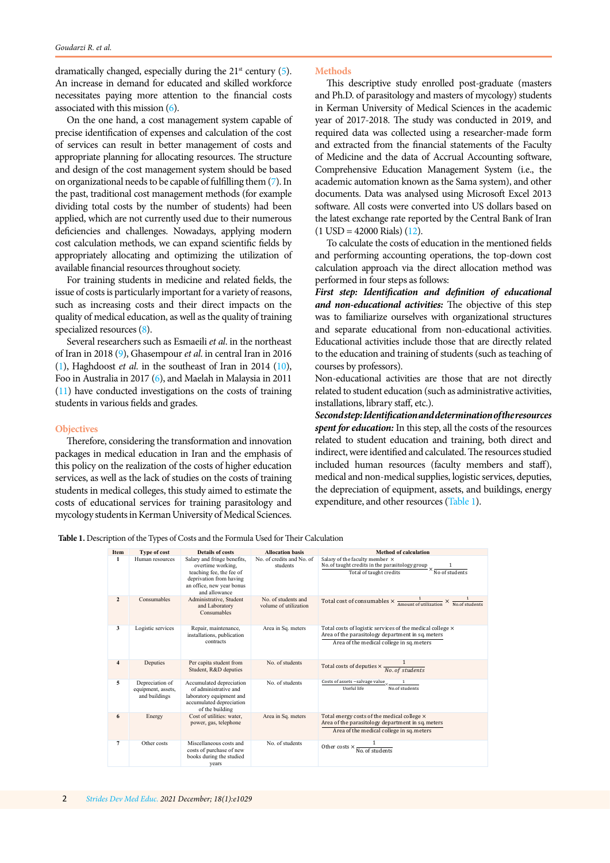dramatically changed, especially during the  $21<sup>st</sup>$  century ([5](#page-4-0)). An increase in demand for educated and skilled workforce necessitates paying more attention to the financial costs associated with this mission [\(6\)](#page-4-0).

On the one hand, a cost management system capable of precise identification of expenses and calculation of the cost of services can result in better management of costs and appropriate planning for allocating resources. The structure and design of the cost management system should be based on organizational needs to be capable of fulfilling them ([7](#page-4-0)). In the past, traditional cost management methods (for example dividing total costs by the number of students) had been applied, which are not currently used due to their numerous deficiencies and challenges. Nowadays, applying modern cost calculation methods, we can expand scientific fields by appropriately allocating and optimizing the utilization of available financial resources throughout society.

For training students in medicine and related fields, the issue of costs is particularly important for a variety of reasons, such as increasing costs and their direct impacts on the quality of medical education, as well as the quality of training specialized resources [\(8](#page-4-0)).

Several researchers such as Esmaeili *et al*. in the northeast of Iran in 2018 ([9](#page-4-0)), Ghasempour *et al*. in central Iran in 2016 [\(1\)](#page-4-0), Haghdoost *et al*. in the southeast of Iran in 2014 [\(10](#page-4-0)), Foo in Australia in 2017 [\(6\)](#page-4-0), and Maelah in Malaysia in 2011 [\(11](#page-4-0)) have conducted investigations on the costs of training students in various fields and grades.

#### **Objectives**

Therefore, considering the transformation and innovation packages in medical education in Iran and the emphasis of this policy on the realization of the costs of higher education services, as well as the lack of studies on the costs of training students in medical colleges, this study aimed to estimate the costs of educational services for training parasitology and mycology students in Kerman University of Medical Sciences.

#### **Methods**

This descriptive study enrolled post-graduate (masters and Ph.D. of parasitology and masters of mycology) students in Kerman University of Medical Sciences in the academic year of 2017-2018. The study was conducted in 2019, and required data was collected using a researcher-made form and extracted from the financial statements of the Faculty of Medicine and the data of Accrual Accounting software, Comprehensive Education Management System (i.e., the academic automation known as the Sama system), and other documents. Data was analysed using Microsoft Excel 2013 software. All costs were converted into US dollars based on the latest exchange rate reported by the Central Bank of Iran  $(1 \text{ USD} = 42000 \text{ Rials})$   $(12)$  $(12)$ .

To calculate the costs of education in the mentioned fields and performing accounting operations, the top-down cost calculation approach via the direct allocation method was performed in four steps as follows:

*First step: Identification and definition of educational and non-educational activities:* The objective of this step was to familiarize ourselves with organizational structures and separate educational from non-educational activities. Educational activities include those that are directly related to the education and training of students (such as teaching of courses by professors).

Non-educational activities are those that are not directly related to student education (such as administrative activities, installations, library staff, etc.).

*Second step: Identification and determination of the resources spent for education:* In this step, all the costs of the resources related to student education and training, both direct and indirect, were identified and calculated. The resources studied included human resources (faculty members and staff), medical and non-medical supplies, logistic services, deputies, the depreciation of equipment, assets, and buildings, energy expenditure, and other resources (Table 1).

**Table 1.** Description of the Types of Costs and the Formula Used for Their Calculation

| Item           | <b>Type of cost</b>                                    | <b>Details of costs</b>                                                                                                                               | <b>Allocation basis</b>                      | <b>Method of calculation</b>                                                                                                                                |
|----------------|--------------------------------------------------------|-------------------------------------------------------------------------------------------------------------------------------------------------------|----------------------------------------------|-------------------------------------------------------------------------------------------------------------------------------------------------------------|
| 1              | Human resources                                        | Salary and fringe benefits,<br>overtime working.<br>teaching fee, the fee of<br>deprivation from having<br>an office, new year bonus<br>and allowance | No. of credits and No. of<br>students        | Salary of the faculty member $\sim$ No. of taught credits in the parasitology group $\times \frac{1}{\text{No of students}}$                                |
| $\overline{2}$ | Consumables                                            | Administrative, Student<br>and Laboratory<br>Consumables                                                                                              | No. of students and<br>volume of utilization | Total cost of consumables $\times \frac{1}{\text{Amount of utilization}}$                                                                                   |
| 3              | Logistic services                                      | Repair, maintenance,<br>installations, publication<br>contracts                                                                                       | Area in Sq. meters                           | Total costs of logistic services of the medical college ×<br>Area of the parasitology department in sq. meters<br>Area of the medical college in sq. meters |
| $\overline{4}$ | Deputies                                               | Per capita student from<br>Student, R&D deputies                                                                                                      | No. of students                              | Total costs of deputies $\times \frac{1}{No. of students}$                                                                                                  |
| 5              | Depreciation of<br>equipment, assets,<br>and buildings | Accumulated depreciation<br>of administrative and<br>laboratory equipment and<br>accumulated depreciation<br>of the building                          | No. of students                              | Costs of assets -salvage value<br>No.of students<br>Useful life                                                                                             |
| 6              | Energy                                                 | Cost of utilities: water.<br>power, gas, telephone                                                                                                    | Area in Sq. meters                           | Total energy costs of the medical college ×<br>Area of the parasitology department in sq. meters<br>Area of the medical college in sq. meters               |
| 7              | Other costs                                            | Miscellaneous costs and<br>costs of purchase of new<br>books during the studied<br>years                                                              | No. of students                              | Other costs $\times$ $\overline{\text{No. of students}}$                                                                                                    |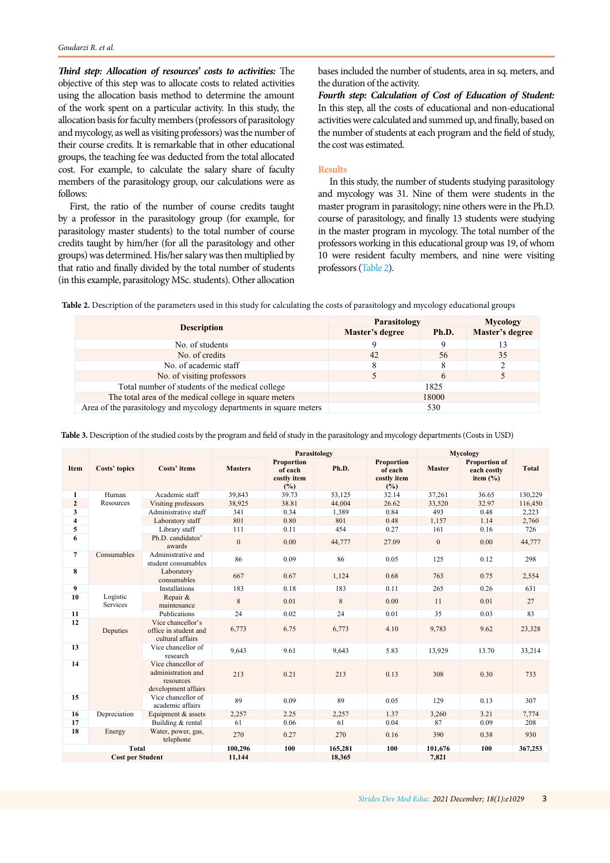<span id="page-2-0"></span>*Third step: Allocation of resources' costs to activities:* The objective of this step was to allocate costs to related activities using the allocation basis method to determine the amount of the work spent on a particular activity. In this study, the allocation basis for faculty members (professors of parasitology and mycology, as well as visiting professors) was the number of their course credits. It is remarkable that in other educational groups, the teaching fee was deducted from the total allocated cost. For example, to calculate the salary share of faculty members of the parasitology group, our calculations were as follows:

First, the ratio of the number of course credits taught by a professor in the parasitology group (for example, for parasitology master students) to the total number of course credits taught by him/her (for all the parasitology and other groups) was determined. His/her salary was then multiplied by that ratio and finally divided by the total number of students (in this example, parasitology MSc. students). Other allocation bases included the number of students, area in sq. meters, and the duration of the activity.

*Fourth step: Calculation of Cost of Education of Student:* In this step, all the costs of educational and non-educational activities were calculated and summed up, and finally, based on the number of students at each program and the field of study, the cost was estimated.

#### **Results**

In this study, the number of students studying parasitology and mycology was 31. Nine of them were students in the master program in parasitology; nine others were in the Ph.D. course of parasitology, and finally 13 students were studying in the master program in mycology. The total number of the professors working in this educational group was 19, of whom 10 were resident faculty members, and nine were visiting professors (Table 2).

Table 2. Description of the parameters used in this study for calculating the costs of parasitology and mycology educational groups

|                                                                    | Parasitology    | Mycology |                 |
|--------------------------------------------------------------------|-----------------|----------|-----------------|
| <b>Description</b>                                                 | Master's degree | Ph.D.    | Master's degree |
| No. of students                                                    |                 |          |                 |
| No. of credits                                                     | 42              | 56       | 35              |
| No. of academic staff                                              |                 |          |                 |
| No. of visiting professors                                         |                 |          |                 |
| Total number of students of the medical college                    |                 | 1825     |                 |
| The total area of the medical college in square meters             |                 | 18000    |                 |
| Area of the parasitology and mycology departments in square meters |                 | 530      |                 |

|                         | Costs' topics               | Costs' items                                                                 | <b>Parasitology</b> |                                                    |         |                                             | <b>Mycology</b> |                                                     |              |
|-------------------------|-----------------------------|------------------------------------------------------------------------------|---------------------|----------------------------------------------------|---------|---------------------------------------------|-----------------|-----------------------------------------------------|--------------|
| Item                    |                             |                                                                              | <b>Masters</b>      | <b>Proportion</b><br>of each<br>costly item<br>(%) | Ph.D.   | Proportion<br>of each<br>costly item<br>(%) | <b>Master</b>   | <b>Proportion of</b><br>each costly<br>item $(\% )$ | <b>Total</b> |
| 1                       | Human                       | Academic staff                                                               | 39,843              | 39.73                                              | 53,125  | 32.14                                       | 37,261          | 36.65                                               | 130,229      |
| $\overline{2}$          | Resources                   | Visiting professors                                                          | 38,925              | 38.81                                              | 44,004  | 26.62                                       | 33,520          | 32.97                                               | 116,450      |
| 3                       |                             | Administrative staff                                                         | 341                 | 0.34                                               | 1,389   | 0.84                                        | 493             | 0.48                                                | 2,223        |
| $\overline{\mathbf{4}}$ |                             | Laboratory staff                                                             | 801                 | 0.80                                               | 801     | 0.48                                        | 1,157           | 1.14                                                | 2,760        |
| 5                       |                             | Library staff                                                                | 111                 | 0.11                                               | 454     | 0.27                                        | 161             | 0.16                                                | 726          |
| 6                       |                             | Ph.D. candidates'<br>awards                                                  | $\overline{0}$      | 0.00                                               | 44,777  | 27.09                                       | $\mathbf{0}$    | 0.00                                                | 44,777       |
| $\overline{7}$          | Consumables                 | Administrative and<br>student consumables                                    | 86                  | 0.09                                               | 86      | 0.05                                        | 125             | 0.12                                                | 298          |
| 8                       |                             | Laboratory<br>consumables                                                    | 667                 | 0.67                                               | 1.124   | 0.68                                        | 763             | 0.75                                                | 2,554        |
| 9                       | Logistic<br><b>Services</b> | <b>Installations</b>                                                         | 183                 | 0.18                                               | 183     | 0.11                                        | 265             | 0.26                                                | 631          |
| 10                      |                             | Repair &<br>maintenance                                                      | 8                   | 0.01                                               | 8       | 0.00                                        | 11              | 0.01                                                | 27           |
| 11                      |                             | Publications                                                                 | 24                  | 0.02                                               | 24      | 0.01                                        | 35              | 0.03                                                | 83           |
| 12                      | Deputies                    | Vice chancellor's<br>office in student and<br>cultural affairs               | 6,773               | 6.75                                               | 6,773   | 4.10                                        | 9,783           | 9.62                                                | 23,328       |
| 13                      |                             | Vice chancellor of<br>research                                               | 9,643               | 9.61                                               | 9,643   | 5.83                                        | 13,929          | 13.70                                               | 33,214       |
| 14                      |                             | Vice chancellor of<br>administration and<br>resources<br>development affairs | 213                 | 0.21                                               | 213     | 0.13                                        | 308             | 0.30                                                | 733          |
| 15                      |                             | Vice chancellor of<br>academic affairs                                       | 89                  | 0.09                                               | 89      | 0.05                                        | 129             | 0.13                                                | 307          |
| 16                      | Depreciation                | Equipment & assets                                                           | 2,257               | 2.25                                               | 2,257   | 1.37                                        | 3,260           | 3.21                                                | 7,774        |
| 17                      |                             | Building & rental                                                            | 61                  | 0.06                                               | 61      | 0.04                                        | 87              | 0.09                                                | 208          |
| 18                      | Energy                      | Water, power, gas,<br>telephone                                              | 270                 | 0.27                                               | 270     | 0.16                                        | 390             | 0.38                                                | 930          |
| <b>Total</b>            |                             |                                                                              | 100,296             | 100                                                | 165,281 | 100                                         | 101,676         | 100                                                 | 367,253      |
| <b>Cost per Student</b> |                             |                                                                              | 11,144              |                                                    | 18.365  |                                             | 7,821           |                                                     |              |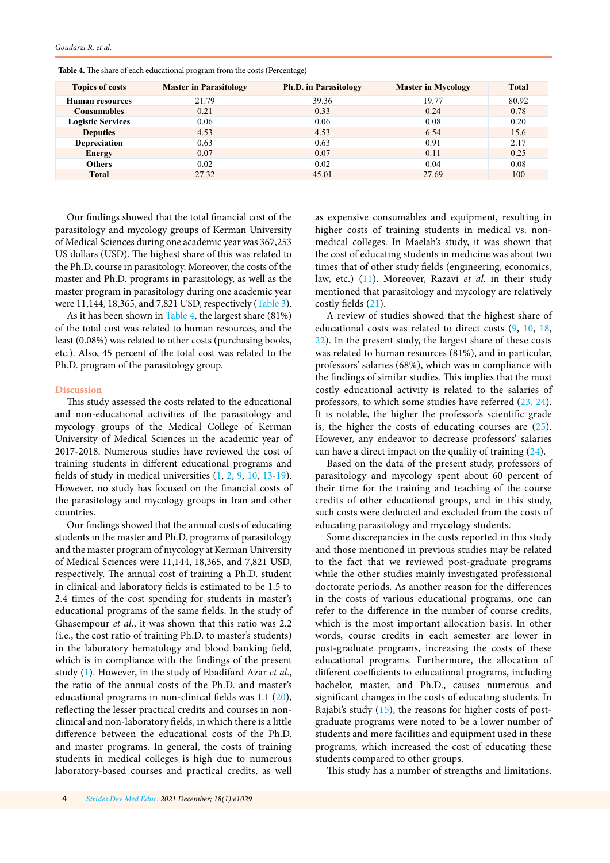| <b>Topics of costs</b>   | <b>Master in Parasitology</b> | <b>Ph.D.</b> in Parasitology | <b>Master in Mycology</b> | <b>Total</b> |
|--------------------------|-------------------------------|------------------------------|---------------------------|--------------|
| Human resources          | 21.79                         | 39.36                        | 19.77                     | 80.92        |
| Consumables              | 0.21                          | 0.33                         | 0.24                      | 0.78         |
| <b>Logistic Services</b> | 0.06                          | 0.06                         | 0.08                      | 0.20         |
| <b>Deputies</b>          | 4.53                          | 4.53                         | 6.54                      | 15.6         |
| <b>Depreciation</b>      | 0.63                          | 0.63                         | 0.91                      | 2.17         |
| <b>Energy</b>            | 0.07                          | 0.07                         | 0.11                      | 0.25         |
| <b>Others</b>            | 0.02                          | 0.02                         | 0.04                      | 0.08         |
| <b>Total</b>             | 27.32                         | 45.01                        | 27.69                     | 100          |

**Table 4.** The share of each educational program from the costs (Percentage)

Our findings showed that the total financial cost of the parasitology and mycology groups of Kerman University of Medical Sciences during one academic year was 367,253 US dollars (USD). The highest share of this was related to the Ph.D. course in parasitology. Moreover, the costs of the master and Ph.D. programs in parasitology, as well as the master program in parasitology during one academic year were 11,144, 18,365, and 7,821 USD, respectively [\(Table 3](#page-2-0)).

As it has been shown in Table 4, the largest share (81%) of the total cost was related to human resources, and the least (0.08%) was related to other costs (purchasing books, etc.). Also, 45 percent of the total cost was related to the Ph.D. program of the parasitology group.

## **Discussion**

*Goudarzi R. et al.*

This study assessed the costs related to the educational and non-educational activities of the parasitology and mycology groups of the Medical College of Kerman University of Medical Sciences in the academic year of 2017-2018. Numerous studies have reviewed the cost of training students in different educational programs and fields of study in medical universities [\(1](#page-4-0), [2](#page-4-0), [9](#page-4-0), [10](#page-4-0), [13-19](#page-4-0)). However, no study has focused on the financial costs of the parasitology and mycology groups in Iran and other countries.

Our findings showed that the annual costs of educating students in the master and Ph.D. programs of parasitology and the master program of mycology at Kerman University of Medical Sciences were 11,144, 18,365, and 7,821 USD, respectively. The annual cost of training a Ph.D. student in clinical and laboratory fields is estimated to be 1.5 to 2.4 times of the cost spending for students in master's educational programs of the same fields. In the study of Ghasempour *et al*., it was shown that this ratio was 2.2 (i.e., the cost ratio of training Ph.D. to master's students) in the laboratory hematology and blood banking field, which is in compliance with the findings of the present study [\(1](#page-4-0)). However, in the study of Ebadifard Azar *et al*., the ratio of the annual costs of the Ph.D. and master's educational programs in non-clinical fields was 1.1 [\(20](#page-5-0)), reflecting the lesser practical credits and courses in nonclinical and non-laboratory fields, in which there is a little difference between the educational costs of the Ph.D. and master programs. In general, the costs of training students in medical colleges is high due to numerous laboratory-based courses and practical credits, as well as expensive consumables and equipment, resulting in higher costs of training students in medical vs. nonmedical colleges. In Maelah's study, it was shown that the cost of educating students in medicine was about two times that of other study fields (engineering, economics, law, etc.) ([11\)](#page-4-0). Moreover, Razavi *et al*. in their study mentioned that parasitology and mycology are relatively costly fields [\(21\)](#page-5-0).

A review of studies showed that the highest share of educational costs was related to direct costs ([9,](#page-4-0) [10](#page-4-0), [18](#page-4-0), [22](#page-5-0)). In the present study, the largest share of these costs was related to human resources (81%), and in particular, professors' salaries (68%), which was in compliance with the findings of similar studies. This implies that the most costly educational activity is related to the salaries of professors, to which some studies have referred [\(23,](#page-5-0) [24\)](#page-5-0). It is notable, the higher the professor's scientific grade is, the higher the costs of educating courses are  $(25)$  $(25)$ . However, any endeavor to decrease professors' salaries can have a direct impact on the quality of training [\(24](#page-5-0)).

Based on the data of the present study, professors of parasitology and mycology spent about 60 percent of their time for the training and teaching of the course credits of other educational groups, and in this study, such costs were deducted and excluded from the costs of educating parasitology and mycology students.

Some discrepancies in the costs reported in this study and those mentioned in previous studies may be related to the fact that we reviewed post-graduate programs while the other studies mainly investigated professional doctorate periods. As another reason for the differences in the costs of various educational programs, one can refer to the difference in the number of course credits, which is the most important allocation basis. In other words, course credits in each semester are lower in post-graduate programs, increasing the costs of these educational programs. Furthermore, the allocation of different coefficients to educational programs, including bachelor, master, and Ph.D., causes numerous and significant changes in the costs of educating students. In Rajabi's study ([15\)](#page-4-0), the reasons for higher costs of postgraduate programs were noted to be a lower number of students and more facilities and equipment used in these programs, which increased the cost of educating these students compared to other groups.

This study has a number of strengths and limitations.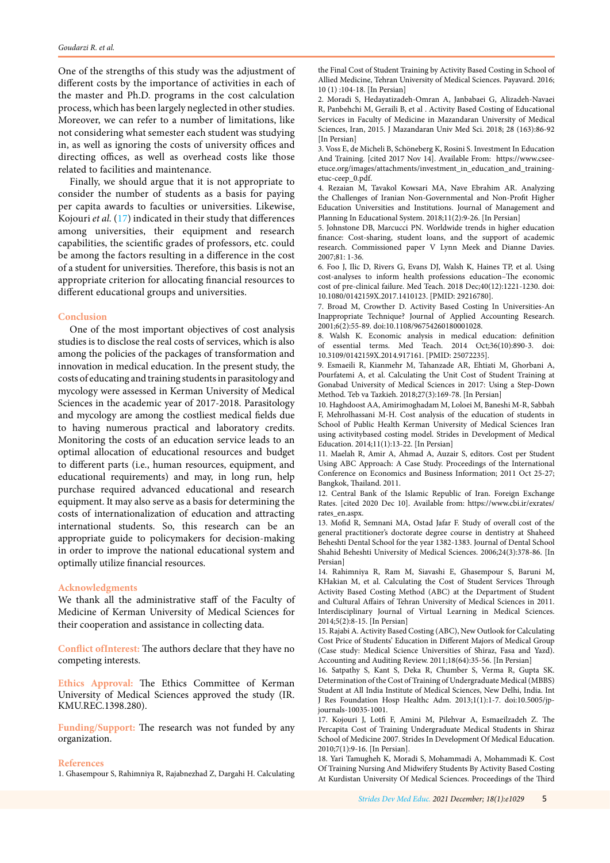<span id="page-4-0"></span>One of the strengths of this study was the adjustment of different costs by the importance of activities in each of the master and Ph.D. programs in the cost calculation process, which has been largely neglected in other studies. Moreover, we can refer to a number of limitations, like not considering what semester each student was studying in, as well as ignoring the costs of university offices and directing offices, as well as overhead costs like those related to facilities and maintenance.

Finally, we should argue that it is not appropriate to consider the number of students as a basis for paying per capita awards to faculties or universities. Likewise, Kojouri *et al.* (17) indicated in their study that differences among universities, their equipment and research capabilities, the scientific grades of professors, etc. could be among the factors resulting in a difference in the cost of a student for universities. Therefore, this basis is not an appropriate criterion for allocating financial resources to different educational groups and universities.

## **Conclusion**

One of the most important objectives of cost analysis studies is to disclose the real costs of services, which is also among the policies of the packages of transformation and innovation in medical education. In the present study, the costs of educating and training students in parasitology and mycology were assessed in Kerman University of Medical Sciences in the academic year of 2017-2018. Parasitology and mycology are among the costliest medical fields due to having numerous practical and laboratory credits. Monitoring the costs of an education service leads to an optimal allocation of educational resources and budget to different parts (i.e., human resources, equipment, and educational requirements) and may, in long run, help purchase required advanced educational and research equipment. It may also serve as a basis for determining the costs of internationalization of education and attracting international students. So, this research can be an appropriate guide to policymakers for decision-making in order to improve the national educational system and optimally utilize financial resources.

#### **Acknowledgments**

We thank all the administrative staff of the Faculty of Medicine of Kerman University of Medical Sciences for their cooperation and assistance in collecting data.

**Conflict ofInterest:** The authors declare that they have no competing interests.

**Ethics Approval:** The Ethics Committee of Kerman University of Medical Sciences approved the study (IR. KMU.REC.1398.280).

**Funding/Support:** The research was not funded by any organization.

#### **References**

1. Ghasempour S, Rahimniya R, Rajabnezhad Z, Dargahi H. Calculating

the Final Cost of Student Training by Activity Based Costing in School of Allied Medicine, Tehran University of Medical Sciences. Payavard. 2016; 10 (1) :104-18. [In Persian]

2. Moradi S, Hedayatizadeh-Omran A, Janbabaei G, Alizadeh-Navaei R, Panbehchi M, Geraili B, et al . Activity Based Costing of Educational Services in Faculty of Medicine in Mazandaran University of Medical Sciences, Iran, 2015. J Mazandaran Univ Med Sci. 2018; 28 (163):86-92 [In Persian]

3. Voss E, de Micheli B, Schöneberg K, Rosini S. Investment In Education And Training. [cited 2017 Nov 14]. Available From: https://www.cseeetuce.org/images/attachments/investment\_in\_education\_and\_trainingetuc-ceep\_0.pdf.

4. Rezaian M, Tavakol Kowsari MA, Nave Ebrahim AR. Analyzing the Challenges of Iranian Non-Governmental and Non-Profit Higher Education Universities and Institutions. Journal of Management and Planning In Educational System. 2018;11(2):9-26. [In Persian]

5. Johnstone DB, Marcucci PN. Worldwide trends in higher education finance: Cost-sharing, student loans, and the support of academic research. Commissioned paper V Lynn Meek and Dianne Davies. 2007;81: 1-36.

6. Foo J, Ilic D, Rivers G, Evans DJ, Walsh K, Haines TP, et al. Using cost-analyses to inform health professions education–The economic cost of pre-clinical failure. Med Teach. 2018 Dec;40(12):1221-1230. doi: 10.1080/0142159X.2017.1410123. [PMID: 29216780].

7. Broad M, Crowther D. Activity Based Costing In Universities‐An Inappropriate Technique? Journal of Applied Accounting Research. 2001;6(2):55-89. doi:10.1108/96754260180001028.

8. Walsh K. Economic analysis in medical education: definition of essential terms. Med Teach. 2014 Oct;36(10):890-3. doi: 10.3109/0142159X.2014.917161. [PMID: 25072235].

9. Esmaeili R, Kianmehr M, Tahanzade AR, Ehtiati M, Ghorbani A, Pourfatemi A, et al. Calculating the Unit Cost of Student Training at Gonabad University of Medical Sciences in 2017: Using a Step-Down Method. Teb va Tazkieh. 2018;27(3):169-78. [In Persian]

10. Haghdoost AA, Amirimoghadam M, Loloei M, Baneshi M-R, Sabbah F, Mehrolhassani M-H. Cost analysis of the education of students in School of Public Health Kerman University of Medical Sciences Iran using activitybased costing model. Strides in Development of Medical Education. 2014;11(1):13-22. [In Persian]

11. Maelah R, Amir A, Ahmad A, Auzair S, editors. Cost per Student Using ABC Approach: A Case Study. Proceedings of the International Conference on Economics and Business Information; 2011 Oct 25-27; Bangkok, Thailand. 2011.

12. Central Bank of the Islamic Republic of Iran. Foreign Exchange Rates. [cited 2020 Dec 10]. Available from: https://www.cbi.ir/exrates/ rates\_en.aspx.

13. Mofid R, Semnani MA, Ostad Jafar F. Study of overall cost of the general practitioner's doctorate degree course in dentistry at Shaheed Beheshti Dental School for the year 1382-1383. Journal of Dental School Shahid Beheshti University of Medical Sciences. 2006;24(3):378-86. [In Persian]

14. Rahimniya R, Ram M, Siavashi E, Ghasempour S, Baruni M, KHakian M, et al. Calculating the Cost of Student Services Through Activity Based Costing Method (ABC) at the Department of Student and Cultural Affairs of Tehran University of Medical Sciences in 2011. Interdisciplinary Journal of Virtual Learning in Medical Sciences. 2014;5(2):8-15. [In Persian]

15. Rajabi A. Activity Based Costing (ABC), New Outlook for Calculating Cost Price of Students' Education in Different Majors of Medical Group (Case study: Medical Science Universities of Shiraz, Fasa and Yazd). Accounting and Auditing Review. 2011;18(64):35-56. [In Persian]

16. Satpathy S, Kant S, Deka R, Chumber S, Verma R, Gupta SK. Determination of the Cost of Training of Undergraduate Medical (MBBS) Student at All India Institute of Medical Sciences, New Delhi, India. Int J Res Foundation Hosp Healthc Adm. 2013;1(1):1-7. doi:10.5005/jpjournals-10035-1001.

17. Kojouri J, Lotfi F, Amini M, Pilehvar A, Esmaeilzadeh Z. The Percapita Cost of Training Undergraduate Medical Students in Shiraz School of Medicine 2007. Strides In Development Of Medical Education. 2010;7(1):9-16. [In Persian].

18. Yari Tamugheh K, Moradi S, Mohammadi A, Mohammadi K. Cost Of Training Nursing And Midwifery Students By Activity Based Costing At Kurdistan University Of Medical Sciences. Proceedings of the Third